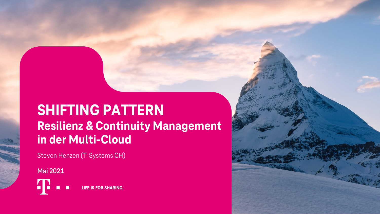# **SHIFTING PATTERN Resilienz & Continuity Management in der Multi-Cloud**

Steven Henzen (T-Systems CH)

**Mai 2021**

**LIFE IS FOR SHARING.**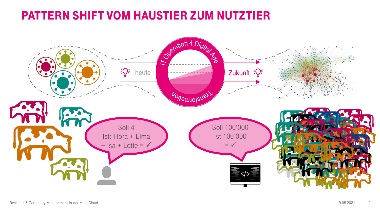### PATTERN SHIFT VOM HAUSTIER ZUM NUTZTIER

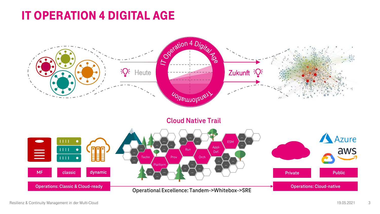### IT OPERATION 4 DIGITAL AGE

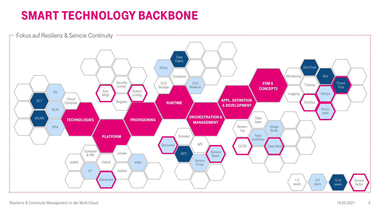### SMART TECHNOLOGY BACKBONE



4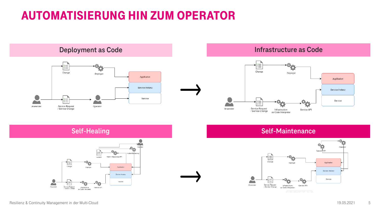### AUTOMATISIERUNG HIN ZUM OPERATOR



### **Deployment as Code Infrastructure as Code**





#### **Self-Healing Self-Maintenance**



5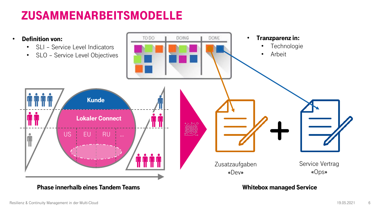### ZUSAMMENARBEITSMODELLE



Phase innerhalb eines Tandem Teams

Whitebox managed Service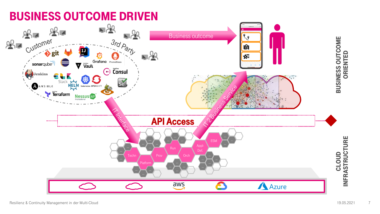

7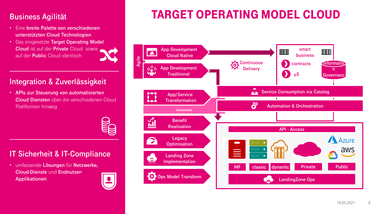### **Business Agilität**

- Eine **breite Palette von verschiedenen unterstützten Cloud Technologien**
- Das eingesetzte **Target Operating Model Cloud** ist auf der **Private** Cloud sowie auf der **Public** Cloud identisch

### **Integration & Zuverlässigkeit**

• **APIs zur Steuerung von automatisierten Cloud Diensten** über die verschiedenen Cloud Plattformen hinweg

**IT Sicherheit & IT-Compliance**

• umfassende **Lösungen** für **Netzwerke, Cloud-Dienste** und **Endnutzer-Applikationen**



# TARGET OPERATING MODEL CLOUD